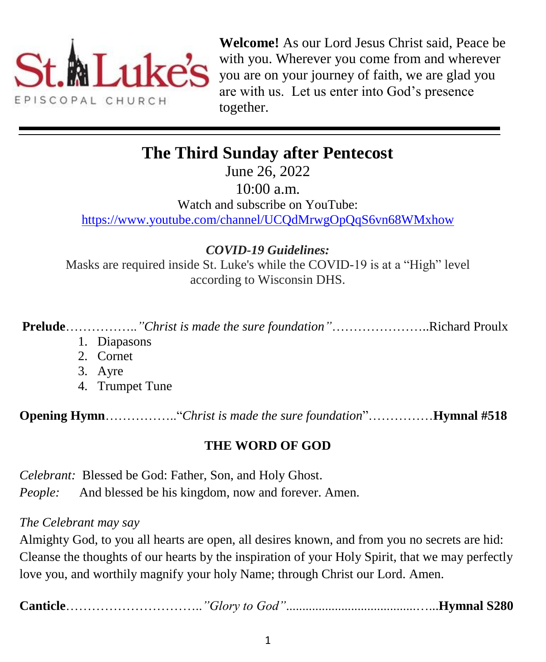

**Welcome!** As our Lord Jesus Christ said, Peace be with you. Wherever you come from and wherever you are on your journey of faith, we are glad you are with us. Let us enter into God's presence together.

# **The Third Sunday after Pentecost**

June 26, 2022

10:00 a.m.

Watch and subscribe on YouTube: <https://www.youtube.com/channel/UCQdMrwgOpQqS6vn68WMxhow>

*COVID-19 Guidelines:*

Masks are required inside St. Luke's while the COVID-19 is at a "High" level according to Wisconsin DHS.

**Prelude**……………..*"Christ is made the sure foundation"*…………………..Richard Proulx

- 1. Diapasons
- 2. Cornet
- 3. Ayre
- 4. Trumpet Tune

**Opening Hymn**…………….."*Christ is made the sure foundation*"……………**Hymnal #518**

## **THE WORD OF GOD**

*Celebrant:* Blessed be God: Father, Son, and Holy Ghost. *People:* And blessed be his kingdom, now and forever. Amen.

*The Celebrant may say* 

Almighty God, to you all hearts are open, all desires known, and from you no secrets are hid: Cleanse the thoughts of our hearts by the inspiration of your Holy Spirit, that we may perfectly love you, and worthily magnify your holy Name; through Christ our Lord. Amen.

**Canticle**…………………………..*"Glory to God"*........................................…...**Hymnal S280**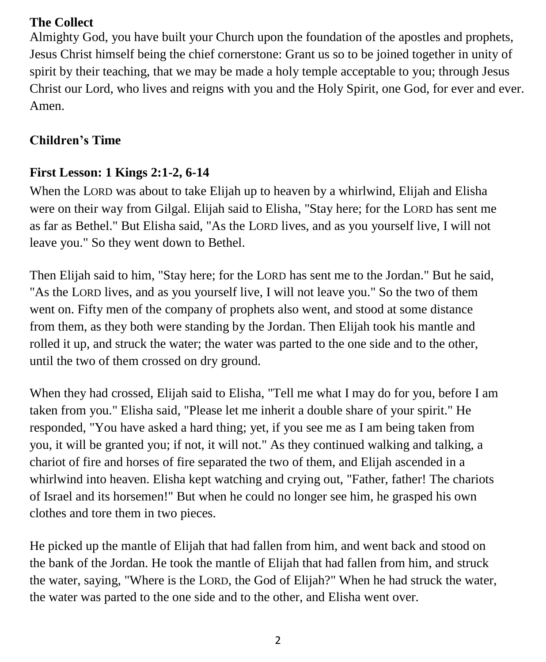## **The Collect**

Almighty God, you have built your Church upon the foundation of the apostles and prophets, Jesus Christ himself being the chief cornerstone: Grant us so to be joined together in unity of spirit by their teaching, that we may be made a holy temple acceptable to you; through Jesus Christ our Lord, who lives and reigns with you and the Holy Spirit, one God, for ever and ever. Amen.

## **Children's Time**

## **First Lesson: 1 Kings 2:1-2, 6-14**

When the LORD was about to take Elijah up to heaven by a whirlwind, Elijah and Elisha were on their way from Gilgal. Elijah said to Elisha, "Stay here; for the LORD has sent me as far as Bethel." But Elisha said, "As the LORD lives, and as you yourself live, I will not leave you." So they went down to Bethel.

Then Elijah said to him, "Stay here; for the LORD has sent me to the Jordan." But he said, "As the LORD lives, and as you yourself live, I will not leave you." So the two of them went on. Fifty men of the company of prophets also went, and stood at some distance from them, as they both were standing by the Jordan. Then Elijah took his mantle and rolled it up, and struck the water; the water was parted to the one side and to the other, until the two of them crossed on dry ground.

When they had crossed, Elijah said to Elisha, "Tell me what I may do for you, before I am taken from you." Elisha said, "Please let me inherit a double share of your spirit." He responded, "You have asked a hard thing; yet, if you see me as I am being taken from you, it will be granted you; if not, it will not." As they continued walking and talking, a chariot of fire and horses of fire separated the two of them, and Elijah ascended in a whirlwind into heaven. Elisha kept watching and crying out, "Father, father! The chariots of Israel and its horsemen!" But when he could no longer see him, he grasped his own clothes and tore them in two pieces.

He picked up the mantle of Elijah that had fallen from him, and went back and stood on the bank of the Jordan. He took the mantle of Elijah that had fallen from him, and struck the water, saying, "Where is the LORD, the God of Elijah?" When he had struck the water, the water was parted to the one side and to the other, and Elisha went over.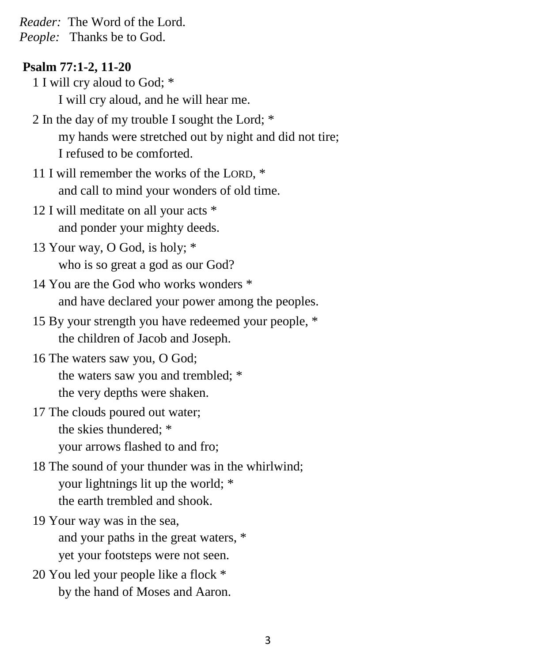*Reader:* The Word of the Lord. *People:* Thanks be to God.

#### **Psalm 77:1-2, 11-20**

- 1 I will cry aloud to God; \* I will cry aloud, and he will hear me.
- 2 In the day of my trouble I sought the Lord; \* my hands were stretched out by night and did not tire; I refused to be comforted.
- 11 I will remember the works of the LORD, \* and call to mind your wonders of old time.
- 12 I will meditate on all your acts \* and ponder your mighty deeds.
- 13 Your way, O God, is holy; \* who is so great a god as our God?
- 14 You are the God who works wonders \* and have declared your power among the peoples.
- 15 By your strength you have redeemed your people, \* the children of Jacob and Joseph.
- 16 The waters saw you, O God; the waters saw you and trembled; \* the very depths were shaken.
- 17 The clouds poured out water; the skies thundered; \* your arrows flashed to and fro;
- 18 The sound of your thunder was in the whirlwind; your lightnings lit up the world; \* the earth trembled and shook.
- 19 Your way was in the sea, and your paths in the great waters, \* yet your footsteps were not seen.
- 20 You led your people like a flock \* by the hand of Moses and Aaron.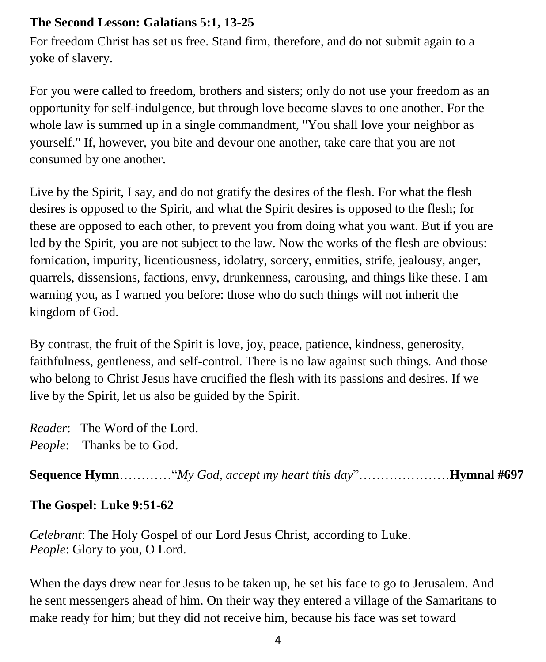## **The Second Lesson: Galatians 5:1, 13-25**

For freedom Christ has set us free. Stand firm, therefore, and do not submit again to a yoke of slavery.

For you were called to freedom, brothers and sisters; only do not use your freedom as an opportunity for self-indulgence, but through love become slaves to one another. For the whole law is summed up in a single commandment, "You shall love your neighbor as yourself." If, however, you bite and devour one another, take care that you are not consumed by one another.

Live by the Spirit, I say, and do not gratify the desires of the flesh. For what the flesh desires is opposed to the Spirit, and what the Spirit desires is opposed to the flesh; for these are opposed to each other, to prevent you from doing what you want. But if you are led by the Spirit, you are not subject to the law. Now the works of the flesh are obvious: fornication, impurity, licentiousness, idolatry, sorcery, enmities, strife, jealousy, anger, quarrels, dissensions, factions, envy, drunkenness, carousing, and things like these. I am warning you, as I warned you before: those who do such things will not inherit the kingdom of God.

By contrast, the fruit of the Spirit is love, joy, peace, patience, kindness, generosity, faithfulness, gentleness, and self-control. There is no law against such things. And those who belong to Christ Jesus have crucified the flesh with its passions and desires. If we live by the Spirit, let us also be guided by the Spirit.

*Reader*: The Word of the Lord. *People*: Thanks be to God.

**Sequence Hymn**…………"*My God, accept my heart this day*"…………………**Hymnal #697**

## **The Gospel: Luke 9:51-62**

*Celebrant*: The Holy Gospel of our Lord Jesus Christ, according to Luke. *People*: Glory to you, O Lord.

When the days drew near for Jesus to be taken up, he set his face to go to Jerusalem. And he sent messengers ahead of him. On their way they entered a village of the Samaritans to make ready for him; but they did not receive him, because his face was set toward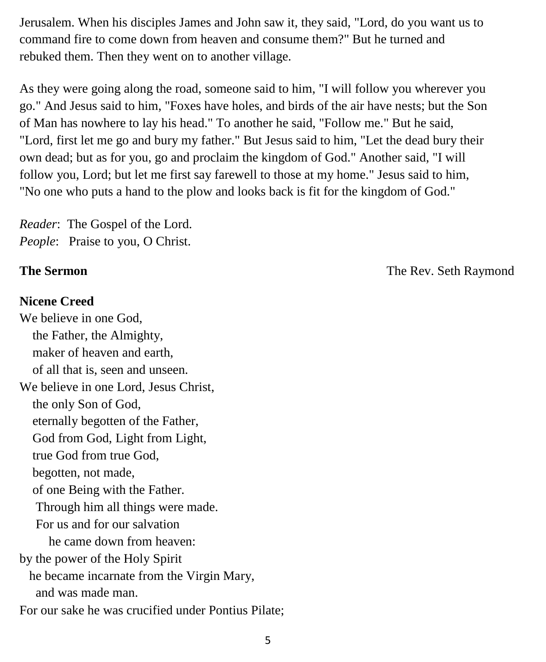Jerusalem. When his disciples James and John saw it, they said, "Lord, do you want us to command fire to come down from heaven and consume them?" But he turned and rebuked them. Then they went on to another village.

As they were going along the road, someone said to him, "I will follow you wherever you go." And Jesus said to him, "Foxes have holes, and birds of the air have nests; but the Son of Man has nowhere to lay his head." To another he said, "Follow me." But he said, "Lord, first let me go and bury my father." But Jesus said to him, "Let the dead bury their own dead; but as for you, go and proclaim the kingdom of God." Another said, "I will follow you, Lord; but let me first say farewell to those at my home." Jesus said to him, "No one who puts a hand to the plow and looks back is fit for the kingdom of God."

*Reader*: The Gospel of the Lord. *People*: Praise to you, O Christ.

## **Nicene Creed**

We believe in one God, the Father, the Almighty, maker of heaven and earth, of all that is, seen and unseen. We believe in one Lord, Jesus Christ, the only Son of God, eternally begotten of the Father, God from God, Light from Light, true God from true God, begotten, not made, of one Being with the Father. Through him all things were made. For us and for our salvation he came down from heaven: by the power of the Holy Spirit he became incarnate from the Virgin Mary, and was made man. For our sake he was crucified under Pontius Pilate;

**The Sermon** The Rev. Seth Raymond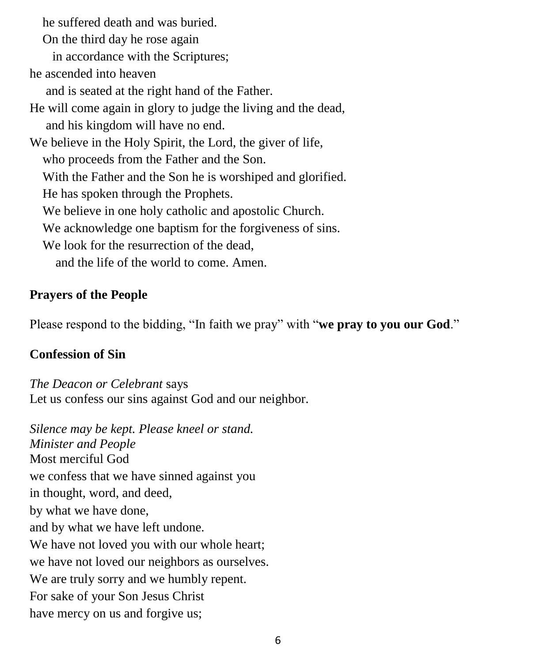he suffered death and was buried. On the third day he rose again in accordance with the Scriptures; he ascended into heaven and is seated at the right hand of the Father. He will come again in glory to judge the living and the dead, and his kingdom will have no end. We believe in the Holy Spirit, the Lord, the giver of life, who proceeds from the Father and the Son. With the Father and the Son he is worshiped and glorified. He has spoken through the Prophets. We believe in one holy catholic and apostolic Church. We acknowledge one baptism for the forgiveness of sins. We look for the resurrection of the dead, and the life of the world to come. Amen.

#### **Prayers of the People**

Please respond to the bidding, "In faith we pray" with "**we pray to you our God**."

#### **Confession of Sin**

*The Deacon or Celebrant* says Let us confess our sins against God and our neighbor.

*Silence may be kept. Please kneel or stand. Minister and People* Most merciful God we confess that we have sinned against you in thought, word, and deed, by what we have done, and by what we have left undone. We have not loved you with our whole heart; we have not loved our neighbors as ourselves. We are truly sorry and we humbly repent. For sake of your Son Jesus Christ have mercy on us and forgive us;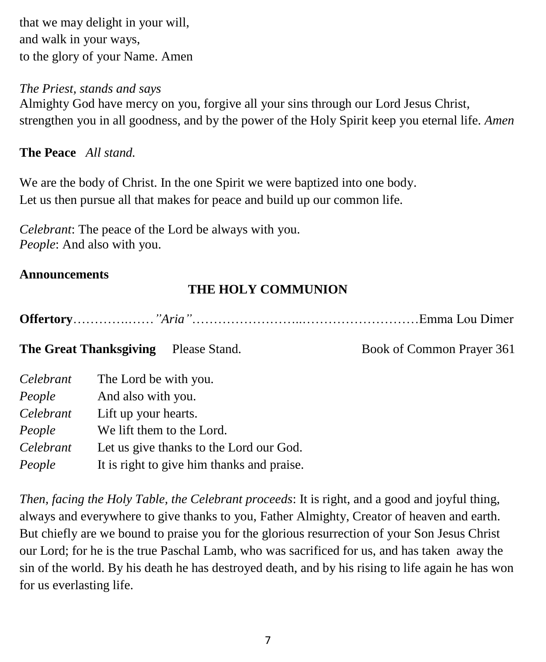that we may delight in your will, and walk in your ways, to the glory of your Name. Amen

### *The Priest, stands and says*

Almighty God have mercy on you, forgive all your sins through our Lord Jesus Christ, strengthen you in all goodness, and by the power of the Holy Spirit keep you eternal life*. Amen*

## **The Peace** *All stand.*

We are the body of Christ. In the one Spirit we were baptized into one body. Let us then pursue all that makes for peace and build up our common life.

*Celebrant*: The peace of the Lord be always with you. *People*: And also with you.

## **Announcements**

## **THE HOLY COMMUNION**

|--|--|--|--|--|

**The Great Thanksgiving** Please Stand. Book of Common Prayer 361 *Celebrant* The Lord be with you. *People* And also with you. *Celebrant* Lift up your hearts. *People* We lift them to the Lord. *Celebrant* Let us give thanks to the Lord our God. *People* It is right to give him thanks and praise.

*Then, facing the Holy Table, the Celebrant proceeds*: It is right, and a good and joyful thing, always and everywhere to give thanks to you, Father Almighty, Creator of heaven and earth. But chiefly are we bound to praise you for the glorious resurrection of your Son Jesus Christ our Lord; for he is the true Paschal Lamb, who was sacrificed for us, and has taken away the sin of the world. By his death he has destroyed death, and by his rising to life again he has won for us everlasting life.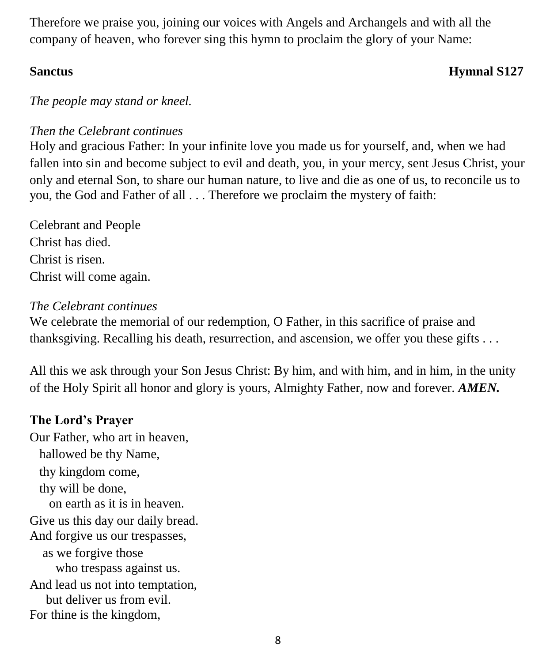Therefore we praise you, joining our voices with Angels and Archangels and with all the company of heaven, who forever sing this hymn to proclaim the glory of your Name:

## **Sanctus Hymnal S127**

*The people may stand or kneel.*

### *Then the Celebrant continues*

Holy and gracious Father: In your infinite love you made us for yourself, and, when we had fallen into sin and become subject to evil and death, you, in your mercy, sent Jesus Christ, your only and eternal Son, to share our human nature, to live and die as one of us, to reconcile us to you, the God and Father of all . . . Therefore we proclaim the mystery of faith:

Celebrant and People Christ has died. Christ is risen. Christ will come again.

### *The Celebrant continues*

We celebrate the memorial of our redemption, O Father, in this sacrifice of praise and thanksgiving. Recalling his death, resurrection, and ascension, we offer you these gifts . . .

All this we ask through your Son Jesus Christ: By him, and with him, and in him, in the unity of the Holy Spirit all honor and glory is yours, Almighty Father, now and forever. *AMEN.*

## **The Lord's Prayer**

Our Father, who art in heaven, hallowed be thy Name, thy kingdom come, thy will be done, on earth as it is in heaven. Give us this day our daily bread. And forgive us our trespasses, as we forgive those who trespass against us. And lead us not into temptation, but deliver us from evil. For thine is the kingdom,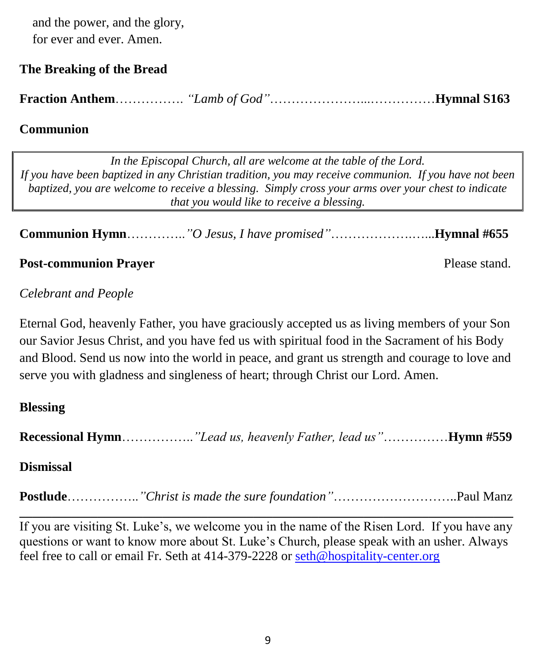and the power, and the glory, for ever and ever. Amen.

## **The Breaking of the Bread**

**Fraction Anthem**……………. *"Lamb of God"*…………………...……………**Hymnal S163** 

### **Communion**

*In the Episcopal Church, all are welcome at the table of the Lord. If you have been baptized in any Christian tradition, you may receive communion. If you have not been baptized, you are welcome to receive a blessing. Simply cross your arms over your chest to indicate that you would like to receive a blessing.*

**Communion Hymn**…………..*"O Jesus, I have promised"*……………….…...**Hymnal #655**

### **Post-communion Prayer Please stand.**

## *Celebrant and People*

Eternal God, heavenly Father, you have graciously accepted us as living members of your Son our Savior Jesus Christ, and you have fed us with spiritual food in the Sacrament of his Body and Blood. Send us now into the world in peace, and grant us strength and courage to love and serve you with gladness and singleness of heart; through Christ our Lord. Amen.

## **Blessing**

**Recessional Hymn**……………..*"Lead us, heavenly Father, lead us"*……………**Hymn #559**

#### **Dismissal**

**Postlude**……………..*"Christ is made the sure foundation"*………………………..Paul Manz **\_\_\_\_\_\_\_\_\_\_\_\_\_\_\_\_\_\_\_\_\_\_\_\_\_\_\_\_\_\_\_\_\_\_\_\_\_\_\_\_\_\_\_\_\_\_\_\_\_\_\_\_\_\_\_\_\_\_\_\_\_\_\_\_\_\_\_\_\_\_\_\_\_\_\_\_**

If you are visiting St. Luke's, we welcome you in the name of the Risen Lord. If you have any questions or want to know more about St. Luke's Church, please speak with an usher. Always feel free to call or email Fr. Seth at 414-379-2228 or [seth@hospitality-center.org](mailto:seth@hospitality-center.org)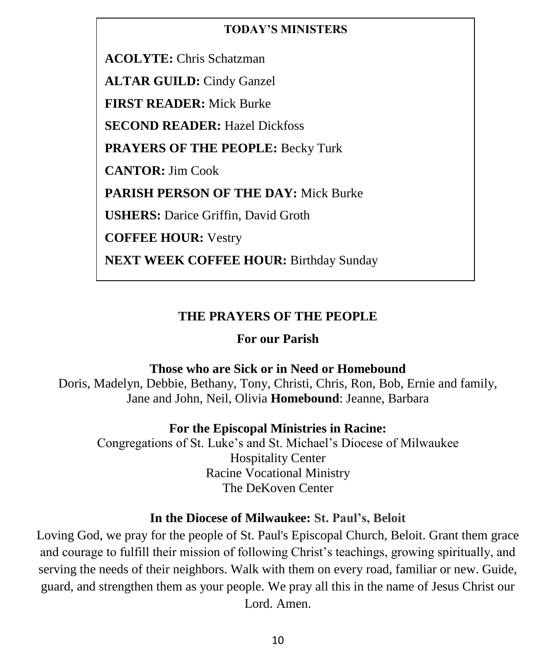#### **TODAY'S MINISTERS**

**ACOLYTE:** Chris Schatzman **ALTAR GUILD:** Cindy Ganzel **FIRST READER:** Mick Burke **SECOND READER:** Hazel Dickfoss **PRAYERS OF THE PEOPLE:** Becky Turk **CANTOR:** Jim Cook **PARISH PERSON OF THE DAY:** Mick Burke **USHERS:** Darice Griffin, David Groth **COFFEE HOUR:** Vestry **NEXT WEEK COFFEE HOUR:** Birthday Sunday

### **THE PRAYERS OF THE PEOPLE**

#### **For our Parish**

#### **Those who are Sick or in Need or Homebound**

Doris, Madelyn, Debbie, Bethany, Tony, Christi, Chris, Ron, Bob, Ernie and family, Jane and John, Neil, Olivia **Homebound**: Jeanne, Barbara

#### **For the Episcopal Ministries in Racine:**

Congregations of St. Luke's and St. Michael's Diocese of Milwaukee Hospitality Center Racine Vocational Ministry The DeKoven Center

#### **In the Diocese of Milwaukee: St. Paul's, Beloit**

Loving God, we pray for the people of St. Paul's Episcopal Church, Beloit. Grant them grace and courage to fulfill their mission of following Christ's teachings, growing spiritually, and serving the needs of their neighbors. Walk with them on every road, familiar or new. Guide, guard, and strengthen them as your people. We pray all this in the name of Jesus Christ our Lord. Amen.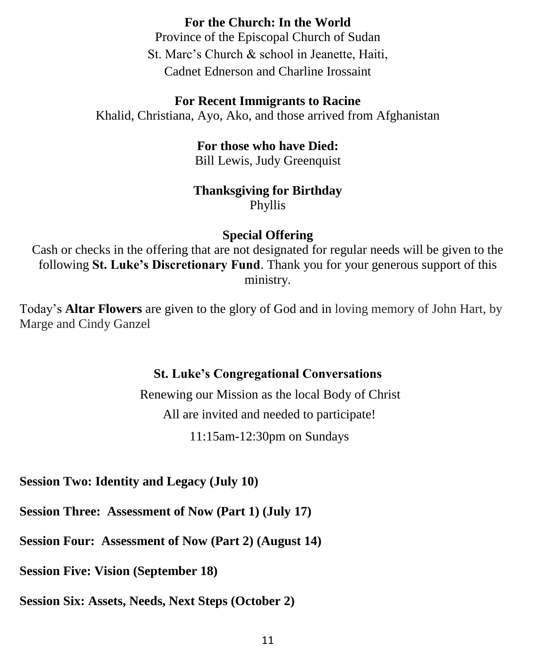#### **For the Church: In the World**

Province of the Episcopal Church of Sudan St. Marc's Church & school in Jeanette, Haiti, Cadnet Ednerson and Charline Irossaint

#### **For Recent Immigrants to Racine**

Khalid, Christiana, Ayo, Ako, and those arrived from Afghanistan

#### **For those who have Died:**

Bill Lewis, Judy Greenquist

#### **Thanksgiving for Birthday** Phyllis

#### **Special Offering**

Cash or checks in the offering that are not designated for regular needs will be given to the following **St. Luke's Discretionary Fund**. Thank you for your generous support of this ministry.

Today's **Altar Flowers** are given to the glory of God and in loving memory of John Hart, by Marge and Cindy Ganzel

#### **St. Luke's Congregational Conversations**

Renewing our Mission as the local Body of Christ All are invited and needed to participate!

11:15am-12:30pm on Sundays

**Session Two: Identity and Legacy (July 10)**

**Session Three: Assessment of Now (Part 1) (July 17)**

**Session Four: Assessment of Now (Part 2) (August 14)**

**Session Five: Vision (September 18)**

**Session Six: Assets, Needs, Next Steps (October 2)**